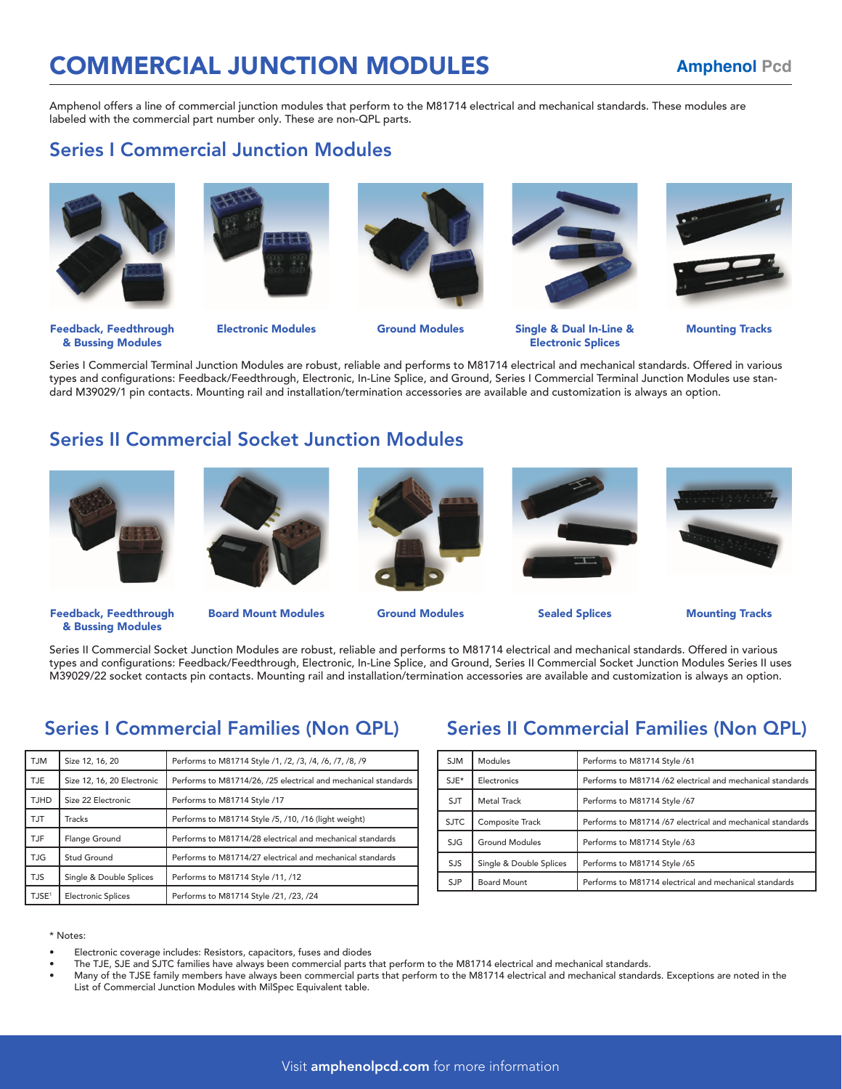# COMMERCIAL JUNCTION MODULES

#### **Amphenol Pcd**

Amphenol offers a line of commercial junction modules that perform to the M81714 electrical and mechanical standards. These modules are labeled with the commercial part number only. These are non-QPL parts.

#### Series I Commercial Junction Modules





Feedback, Feedthrough & Bussing Modules





Electronic Modules Ground Modules Single & Dual In-Line & Electronic Splices



Mounting Tracks

Series I Commercial Terminal Junction Modules are robust, reliable and performs to M81714 electrical and mechanical standards. Offered in various types and configurations: Feedback/Feedthrough, Electronic, In-Line Splice, and Ground, Series I Commercial Terminal Junction Modules use standard M39029/1 pin contacts. Mounting rail and installation/termination accessories are available and customization is always an option.

#### Series II Commercial Socket Junction Modules





Feedback, Feedthrough & Bussing Modules

Board Mount Modules Ground Modules Sealed Splices Mounting Tracks





Series II Commercial Socket Junction Modules are robust, reliable and performs to M81714 electrical and mechanical standards. Offered in various types and configurations: Feedback/Feedthrough, Electronic, In-Line Splice, and Ground, Series II Commercial Socket Junction Modules Series II uses M39029/22 socket contacts pin contacts. Mounting rail and installation/termination accessories are available and customization is always an option.

## Series I Commercial Families (Non QPL)

| T.JM              | Size 12, 16, 20            | Performs to M81714 Style /1, /2, /3, /4, /6, /7, /8, /9        |
|-------------------|----------------------------|----------------------------------------------------------------|
| TJE.              | Size 12, 16, 20 Electronic | Performs to M81714/26, /25 electrical and mechanical standards |
| <b>TJHD</b>       | Size 22 Electronic         | Performs to M81714 Style /17                                   |
| <b>TJT</b>        | <b>Tracks</b>              | Performs to M81714 Style /5, /10, /16 (light weight)           |
| <b>TJF</b>        | Flange Ground              | Performs to M81714/28 electrical and mechanical standards      |
| <b>TJG</b>        | Stud Ground                | Performs to M81714/27 electrical and mechanical standards      |
| <b>TJS</b>        | Single & Double Splices    | Performs to M81714 Style /11, /12                              |
| TJSE <sup>1</sup> | <b>Electronic Splices</b>  | Performs to M81714 Style /21, /23, /24                         |
|                   |                            |                                                                |

## Series II Commercial Families (Non QPL)

| <b>SJM</b>  | Modules                 | Performs to M81714 Style /61                               |
|-------------|-------------------------|------------------------------------------------------------|
| $SJE*$      | Electronics             | Performs to M81714 /62 electrical and mechanical standards |
| <b>SJT</b>  | Metal Track             | Performs to M81714 Style /67                               |
| <b>SJTC</b> | <b>Composite Track</b>  | Performs to M81714 /67 electrical and mechanical standards |
| <b>SJG</b>  | <b>Ground Modules</b>   | Performs to M81714 Style /63                               |
| SJS         | Single & Double Splices | Performs to M81714 Style /65                               |
| <b>SJP</b>  | <b>Board Mount</b>      | Performs to M81714 electrical and mechanical standards     |
|             |                         |                                                            |

\* Notes:

- Electronic coverage includes: Resistors, capacitors, fuses and diodes
- The TJE, SJE and SJTC families have always been commercial parts that perform to the M81714 electrical and mechanical standards.
- Many of the TJSE family members have always been commercial parts that perform to the M81714 electrical and mechanical standards. Exceptions are noted in the List of Commercial Junction Modules with MilSpec Equivalent table.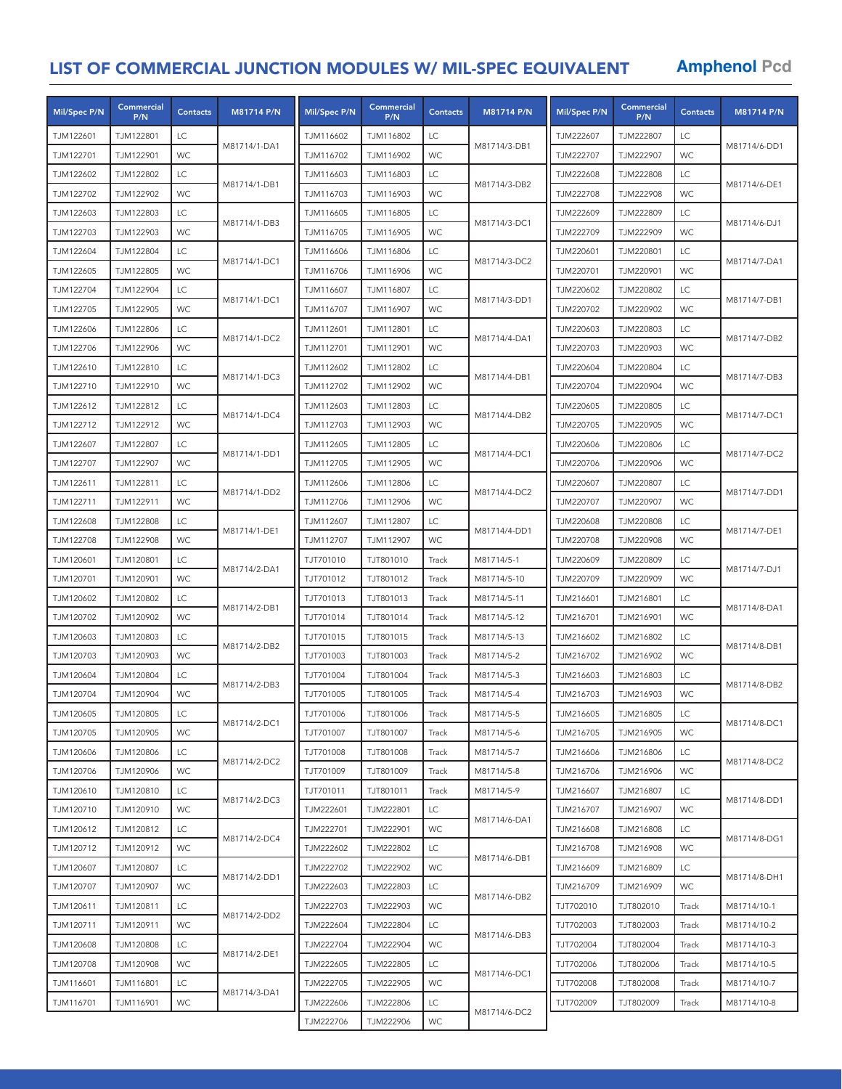## LIST OF COMMERCIAL JUNCTION MODULES W/ MIL-SPEC EQUIVALENT **Amphenol Pcd**

| Mil/Spec P/N | Commercial<br>P/N | <b>Contacts</b> | M81714 P/N   | Mil/Spec P/N | Commercial<br>P/N | <b>Contacts</b> | M81714 P/N   | Mil/Spec P/N | <b>Commercial</b><br>P/N | <b>Contacts</b> | M81714 P/N   |
|--------------|-------------------|-----------------|--------------|--------------|-------------------|-----------------|--------------|--------------|--------------------------|-----------------|--------------|
| TJM122601    | TJM122801         | LC              |              | TJM116602    | TJM116802         | LC              | M81714/3-DB1 | TJM222607    | TJM222807                | LC              |              |
| TJM122701    | TJM122901         | WC              | M81714/1-DA1 | TJM116702    | TJM116902         | WC              |              | TJM222707    | TJM222907                | WC              | M81714/6-DD1 |
| TJM122602    | TJM122802         | LC              | M81714/1-DB1 | TJM116603    | TJM116803         | LC              | M81714/3-DB2 | TJM222608    | TJM222808                | LC              | M81714/6-DE1 |
| TJM122702    | TJM122902         | WC              |              | TJM116703    | TJM116903         | WC              |              | TJM222708    | TJM222908                | WC              |              |
| TJM122603    | TJM122803         | LC              | M81714/1-DB3 | TJM116605    | TJM116805         | LC              | M81714/3-DC1 | TJM222609    | TJM222809                | LC              | M81714/6-DJ1 |
| TJM122703    | TJM122903         | WC              |              | TJM116705    | TJM116905         | WC              |              | TJM222709    | TJM222909                | WC              |              |
| TJM122604    | TJM122804         | LC              | M81714/1-DC1 | TJM116606    | TJM116806         | LC              | M81714/3-DC2 | TJM220601    | TJM220801                | LC              | M81714/7-DA1 |
| TJM122605    | TJM122805         | WC              |              | TJM116706    | TJM116906         | WC              |              | TJM220701    | TJM220901                | WC              |              |
| TJM122704    | TJM122904         | LC              | M81714/1-DC1 | TJM116607    | TJM116807         | LC              | M81714/3-DD1 | TJM220602    | TJM220802                | LC              | M81714/7-DB1 |
| TJM122705    | TJM122905         | WC              |              | TJM116707    | TJM116907         | WC              |              | TJM220702    | TJM220902                | WC              |              |
| TJM122606    | TJM122806         | LC              | M81714/1-DC2 | TJM112601    | TJM112801         | LC              | M81714/4-DA1 | TJM220603    | TJM220803                | LC              | M81714/7-DB2 |
| TJM122706    | TJM122906         | WC              |              | TJM112701    | TJM112901         | WC              |              | TJM220703    | TJM220903                | WC              |              |
| TJM122610    | TJM122810         | LC              | M81714/1-DC3 | TJM112602    | TJM112802         | LC              | M81714/4-DB1 | TJM220604    | TJM220804                | LC              | M81714/7-DB3 |
| TJM122710    | TJM122910         | WC              |              | TJM112702    | TJM112902         | WC              |              | TJM220704    | TJM220904                | WC              |              |
| TJM122612    | TJM122812         | LC              | M81714/1-DC4 | TJM112603    | TJM112803         | LC              | M81714/4-DB2 | TJM220605    | TJM220805                | LC              |              |
| TJM122712    | TJM122912         | WC              |              | TJM112703    | TJM112903         | WC              |              | TJM220705    | TJM220905                | WC              | M81714/7-DC1 |
| TJM122607    | TJM122807         | LC              | M81714/1-DD1 | TJM112605    | TJM112805         | LC              | M81714/4-DC1 | TJM220606    | TJM220806                | LC              |              |
| TJM122707    | TJM122907         | WC              |              | TJM112705    | TJM112905         | WC              |              | TJM220706    | TJM220906                | WC              | M81714/7-DC2 |
| TJM122611    | TJM122811         | LC              |              | TJM112606    | TJM112806         | LC              |              | TJM220607    | TJM220807                | LC              |              |
| TJM122711    | TJM122911         | WC              | M81714/1-DD2 | TJM112706    | TJM112906         | WC              | M81714/4-DC2 | TJM220707    | TJM220907                | WC              | M81714/7-DD1 |
| TJM122608    | TJM122808         | LC              |              | TJM112607    | TJM112807         | LC              |              | TJM220608    | TJM220808                | LC              | M81714/7-DE1 |
| TJM122708    | TJM122908         | WC              | M81714/1-DE1 | TJM112707    | TJM112907         | WC              | M81714/4-DD1 | TJM220708    | TJM220908                | WC              |              |
| TJM120601    | TJM120801         | LC              | M81714/2-DA1 | TJT701010    | TJT801010         | Track           | M81714/5-1   | TJM220609    | TJM220809                | LC              |              |
| TJM120701    | TJM120901         | WC              |              | TJT701012    | TJT801012         | Track           | M81714/5-10  | TJM220709    | TJM220909                | WC              | M81714/7-DJ1 |
| TJM120602    | TJM120802         | LC              |              | TJT701013    | TJT801013         | Track           | M81714/5-11  | TJM216601    | TJM216801                | LC              |              |
| TJM120702    | TJM120902         | WC              | M81714/2-DB1 | TJT701014    | TJT801014         | Track           | M81714/5-12  | TJM216701    | TJM216901                | WC              | M81714/8-DA1 |
| TJM120603    | TJM120803         | LC              |              | TJT701015    | TJT801015         | Track           | M81714/5-13  | TJM216602    | TJM216802                | LC              |              |
| TJM120703    | TJM120903         | WC              | M81714/2-DB2 | TJT701003    | TJT801003         | Track           | M81714/5-2   | TJM216702    | TJM216902                | <b>WC</b>       | M81714/8-DB1 |
| TJM120604    | TJM120804         | LC              |              | TJT701004    | TJT801004         | Track           | M81714/5-3   | TJM216603    | TJM216803                | LC              |              |
| TJM120704    | TJM120904         | WC              | M81714/2-DB3 | TJT701005    | TJT801005         | Track           | M81714/5-4   | TJM216703    | TJM216903                | <b>WC</b>       | M81714/8-DB2 |
| TJM120605    | TJM120805         | LC              |              | TJT701006    | TJT801006         | Track           | M81714/5-5   | TJM216605    | TJM216805                | LC              |              |
| TJM120705    | TJM120905         | <b>WC</b>       | M81714/2-DC1 | TJT701007    | TJT801007         | Track           | M81714/5-6   | TJM216705    | TJM216905                | <b>WC</b>       | M81714/8-DC1 |
| TJM120606    | TJM120806         | LC              |              | TJT701008    | TJT801008         | Track           | M81714/5-7   | TJM216606    | TJM216806                | LC              |              |
| TJM120706    | TJM120906         | WC              | M81714/2-DC2 | TJT701009    | TJT801009         | Track           | M81714/5-8   | TJM216706    | TJM216906                | WC              | M81714/8-DC2 |
| TJM120610    | TJM120810         | LC              |              | TJT701011    | TJT801011         | Track           | M81714/5-9   | TJM216607    | TJM216807                | LC              |              |
| TJM120710    | TJM120910         | WC              | M81714/2-DC3 | TJM222601    | TJM222801         | LC              |              | TJM216707    | TJM216907                | WC              | M81714/8-DD1 |
| TJM120612    | TJM120812         | LC              |              | TJM222701    | TJM222901         | WC              | M81714/6-DA1 | TJM216608    | TJM216808                | LC              |              |
| TJM120712    | TJM120912         | <b>WC</b>       | M81714/2-DC4 | TJM222602    | TJM222802         | LC              |              | TJM216708    | TJM216908                | <b>WC</b>       | M81714/8-DG1 |
| TJM120607    | TJM120807         | LC              | M81714/2-DD1 | TJM222702    | TJM222902         | WC              | M81714/6-DB1 | TJM216609    | TJM216809                | LC              |              |
| TJM120707    | TJM120907         | WC              |              | TJM222603    | TJM222803         | LC              |              | TJM216709    | TJM216909                | WC              | M81714/8-DH1 |
| TJM120611    | TJM120811         | LC              |              | TJM222703    | TJM222903         | WC              | M81714/6-DB2 | TJT702010    | TJT802010                | Track           | M81714/10-1  |
| TJM120711    | TJM120911         | WC              | M81714/2-DD2 | TJM222604    | TJM222804         | LC              | M81714/6-DB3 | TJT702003    | TJT802003                | Track           | M81714/10-2  |
| TJM120608    | TJM120808         | LC              |              | TJM222704    | TJM222904         | WC              |              | TJT702004    | TJT802004                | Track           | M81714/10-3  |
| TJM120708    | TJM120908         | <b>WC</b>       | M81714/2-DE1 | TJM222605    | TJM222805         | LC              |              | TJT702006    | TJT802006                | Track           | M81714/10-5  |
| TJM116601    | TJM116801         | LC              |              | TJM222705    | TJM222905         | WC              | M81714/6-DC1 | TJT702008    | TJT802008                | Track           | M81714/10-7  |
| TJM116701    | TJM116901         | WC              | M81714/3-DA1 | TJM222606    | TJM222806         | LC              |              | TJT702009    | TJT802009                | Track           | M81714/10-8  |
|              |                   |                 |              | TJM222706    | TJM222906         | WC              | M81714/6-DC2 |              |                          |                 |              |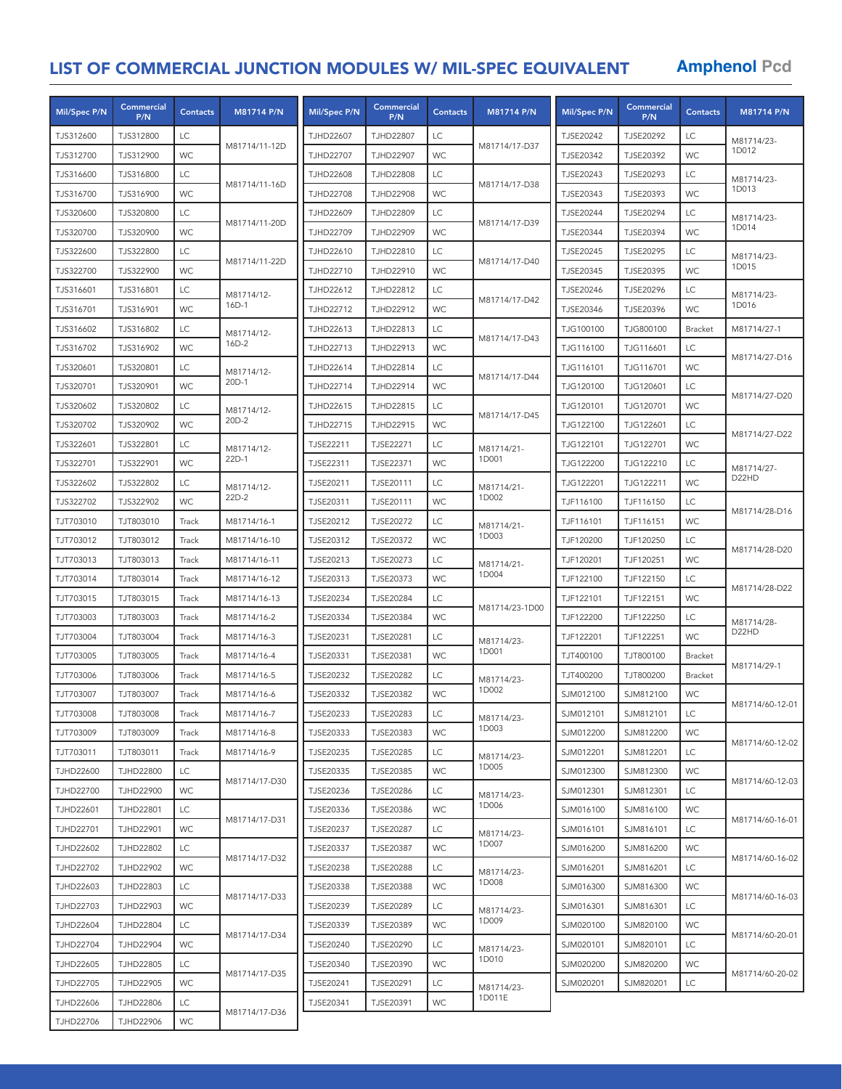## LIST OF COMMERCIAL JUNCTION MODULES W/ MIL-SPEC EQUIVALENT **Amphenol Pcd**

| Mil/Spec P/N     | <b>Commercial</b><br>P/N | <b>Contacts</b> | M81714 P/N    | Mil/Spec P/N     | <b>Commercial</b><br>P/N | <b>Contacts</b> | M81714 P/N          | Mil/Spec P/N | <b>Commercial</b><br>P/N | <b>Contacts</b> | M81714 P/N                                        |
|------------------|--------------------------|-----------------|---------------|------------------|--------------------------|-----------------|---------------------|--------------|--------------------------|-----------------|---------------------------------------------------|
| TJS312600        | TJS312800                | LC              |               | <b>TJHD22607</b> | <b>TJHD22807</b>         | LC              |                     | TJSE20242    | TJSE20292                | LC              | M81714/23-                                        |
| TJS312700        | TJS312900                | WC              | M81714/11-12D | TJHD22707        | TJHD22907                | WC              | M81714/17-D37       | TJSE20342    | TJSE20392                | <b>WC</b>       | 1D012                                             |
| TJS316600        | TJS316800                | LC              |               | <b>TJHD22608</b> | <b>TJHD22808</b>         | LC              |                     | TJSE20243    | TJSE20293                | LC              | M81714/23-<br>1D013                               |
| TJS316700        | TJS316900                | WC              | M81714/11-16D | <b>TJHD22708</b> | TJHD22908                | WC              | M81714/17-D38       | TJSE20343    | TJSE20393                | <b>WC</b>       |                                                   |
| TJS320600        | TJS320800                | LC              |               | TJHD22609        | TJHD22809                | LC              |                     | TJSE20244    | TJSE20294                | LC              | M81714/23-<br>1D014                               |
| TJS320700        | TJS320900                | WC              | M81714/11-20D | TJHD22709        | TJHD22909                | WC              | M81714/17-D39       | TJSE20344    | TJSE20394                | <b>WC</b>       |                                                   |
| TJS322600        | TJS322800                | LC              |               | TJHD22610        | TJHD22810                | LC              |                     | TJSE20245    | TJSE20295                | LC              | M81714/23-<br>1D015                               |
| TJS322700        | TJS322900                | WC              | M81714/11-22D | TJHD22710        | TJHD22910                | WC              | M81714/17-D40       | TJSE20345    | TJSE20395                | WC              |                                                   |
| TJS316601        | TJS316801                | LC              | M81714/12-    | TJHD22612        | <b>TJHD22812</b>         | LC              |                     | TJSE20246    | TJSE20296                | LC              | M81714/23-<br>1D016                               |
| TJS316701        | TJS316901                | WC              | $16D-1$       | <b>TJHD22712</b> | TJHD22912                | WC              | M81714/17-D42       | TJSE20346    | TJSE20396                | WC              |                                                   |
| TJS316602        | TJS316802                | LC              | M81714/12-    | <b>TJHD22613</b> | TJHD22813                | LC              |                     | TJG100100    | TJG800100                | <b>Bracket</b>  | M81714/27-1                                       |
| TJS316702        | TJS316902                | WC              | $16D-2$       | TJHD22713        | TJHD22913                | WC              | M81714/17-D43       | TJG116100    | TJG116601                | LC              |                                                   |
| TJS320601        | TJS320801                | LC              | M81714/12-    | <b>TJHD22614</b> | TJHD22814                | LC              |                     | TJG116101    | TJG116701                | WC              | M81714/27-D16                                     |
| TJS320701        | TJS320901                | WC              | 20D-1         | TJHD22714        | TJHD22914                | WC              | M81714/17-D44       | TJG120100    | TJG120601                | LC              |                                                   |
| TJS320602        | TJS320802                | LC              | M81714/12-    | <b>TJHD22615</b> | <b>TJHD22815</b>         | LC              |                     | TJG120101    | TJG120701                | WC              | M81714/27-D20                                     |
| TJS320702        | TJS320902                | WC              | $20D-2$       | TJHD22715        | TJHD22915                | WC              | M81714/17-D45       | TJG122100    | TJG122601                | LC              |                                                   |
| TJS322601        | TJS322801                | LC              | M81714/12-    | TJSE22211        | TJSE22271                | LC              | M81714/21-          | TJG122101    | TJG122701                | WC              | M81714/27-D22                                     |
| TJS322701        | TJS322901                | <b>WC</b>       | 22D-1         | TJSE22311        | TJSE22371                | WC              | 1D001               | TJG122200    | TJG122210                | LC              |                                                   |
| TJS322602        | TJS322802                | LC              | M81714/12-    | TJSE20211        | TJSE20111                | LC              |                     | TJG122201    | TJG122211                | <b>WC</b>       | M81714/27-<br>D <sub>22</sub> HD                  |
| TJS322702        | TJS322902                | <b>WC</b>       | $22D-2$       | TJSE20311        | TJSE20111                | WC              | M81714/21-<br>1D002 | TJF116100    | TJF116150                | LC              |                                                   |
| TJT703010        | TJT803010                | Track           | M81714/16-1   | TJSE20212        | TJSE20272                | LC              | M81714/21-<br>1D003 | TJF116101    | TJF116151                | WC              | M81714/28-D16<br>M81714/28-D20                    |
| TJT703012        | TJT803012                | Track           | M81714/16-10  | TJSE20312        | TJSE20372                | WC              |                     | TJF120200    | TJF120250                | LC              |                                                   |
| TJT703013        | TJT803013                | Track           | M81714/16-11  | TJSE20213        | TJSE20273                | LC              | M81714/21-          | TJF120201    | TJF120251                | WC              |                                                   |
| TJT703014        | TJT803014                | Track           | M81714/16-12  | TJSE20313        | TJSE20373                | WC              | 1D004               | TJF122100    | TJF122150                | LC              |                                                   |
| TJT703015        | TJT803015                | Track           | M81714/16-13  | TJSE20234        | TJSE20284                | LC              | M81714/23-1D00      | TJF122101    | TJF122151                | WC              | M81714/28-D22<br>M81714/28-<br>D <sub>22</sub> HD |
| TJT703003        | TJT803003                | Track           | M81714/16-2   | TJSE20334        | TJSE20384                | WC              |                     | TJF122200    | TJF122250                | LC              |                                                   |
| TJT703004        | TJT803004                | Track           | M81714/16-3   | TJSE20231        | TJSE20281                | LC              | M81714/23-          | TJF122201    | TJF122251                | <b>WC</b>       |                                                   |
| TJT703005        | TJT803005                | Track           | M81714/16-4   | TJSE20331        | TJSE20381                | WC              | 1D001               | TJT400100    | TJT800100                | <b>Bracket</b>  |                                                   |
| TJT703006        | TJT803006                | Track           | M81714/16-5   | TJSE20232        | TJSE20282                | LC              |                     | TJT400200    | TJT800200                | <b>Bracket</b>  | M81714/29-1                                       |
| TJT703007        | TJT803007                | Track           | M81714/16-6   | TJSE20332        | TJSE20382                | <b>WC</b>       | M81714/23-<br>1D002 | SJM012100    | SJM812100                | WC              |                                                   |
| TJT703008        | TJT803008                | Track           | M81714/16-7   | TJSE20233        | TJSE20283                | LC              | M81714/23-          | SJM012101    | SJM812101                | LC              | M81714/60-12-01                                   |
| TJT703009        | TJT803009                | Track           | M81714/16-8   | TJSE20333        | TJSE20383                | <b>WC</b>       | 1D003               | SJM012200    | SJM812200                | WC              |                                                   |
| TJT703011        | TJT803011                | Track           | M81714/16-9   | TJSE20235        | TJSE20285                | LC              | M81714/23-          | SJM012201    | SJM812201                | LC              | M81714/60-12-02                                   |
| TJHD22600        | TJHD22800                | LC              |               | TJSE20335        | TJSE20385                | <b>WC</b>       | 1D005               | SJM012300    | SJM812300                | WC              |                                                   |
| TJHD22700        | TJHD22900                | <b>WC</b>       | M81714/17-D30 | TJSE20236        | TJSE20286                | LC              | M81714/23-          | SJM012301    | SJM812301                | LC              | M81714/60-12-03                                   |
| TJHD22601        | <b>TJHD22801</b>         | LC              |               | TJSE20336        | TJSE20386                | <b>WC</b>       | 1D006               | SJM016100    | SJM816100                | WC              |                                                   |
| TJHD22701        | TJHD22901                | <b>WC</b>       | M81714/17-D31 | TJSE20237        | TJSE20287                | LC              | M81714/23-          | SJM016101    | SJM816101                | LC              | M81714/60-16-01                                   |
| TJHD22602        | TJHD22802                | LC              |               | TJSE20337        | TJSE20387                | <b>WC</b>       | 1D007               | SJM016200    | SJM816200                | WC              |                                                   |
| TJHD22702        | TJHD22902                | <b>WC</b>       | M81714/17-D32 | TJSE20238        | TJSE20288                | LC              | M81714/23-          | SJM016201    | SJM816201                | LC              | M81714/60-16-02                                   |
| TJHD22603        | TJHD22803                | LC              |               | TJSE20338        | TJSE20388                | <b>WC</b>       | 1D008               | SJM016300    | SJM816300                | WC              |                                                   |
| TJHD22703        | TJHD22903                | <b>WC</b>       | M81714/17-D33 | TJSE20239        | TJSE20289                | LC              |                     | SJM016301    | SJM816301                | LC              | M81714/60-16-03                                   |
| TJHD22604        | <b>TJHD22804</b>         | LC              |               | TJSE20339        | TJSE20389                | <b>WC</b>       | M81714/23-<br>1D009 | SJM020100    | SJM820100                | WC              |                                                   |
| TJHD22704        | TJHD22904                | <b>WC</b>       | M81714/17-D34 | TJSE20240        | TJSE20290                | LC              | M81714/23-          | SJM020101    | SJM820101                | LC              | M81714/60-20-01                                   |
| <b>TJHD22605</b> | TJHD22805                | LC              |               | TJSE20340        | TJSE20390                | <b>WC</b>       | 1D010               | SJM020200    | SJM820200                | WC              |                                                   |
| <b>TJHD22705</b> | TJHD22905                | <b>WC</b>       | M81714/17-D35 | TJSE20241        | TJSE20291                | LC              | M81714/23-          | SJM020201    | SJM820201                | LC              | M81714/60-20-02                                   |
| TJHD22606        | TJHD22806                | LC              |               | TJSE20341        | TJSE20391                | <b>WC</b>       | 1D011E              |              |                          |                 |                                                   |
| TJHD22706        | TJHD22906                | <b>WC</b>       | M81714/17-D36 |                  |                          |                 |                     |              |                          |                 |                                                   |